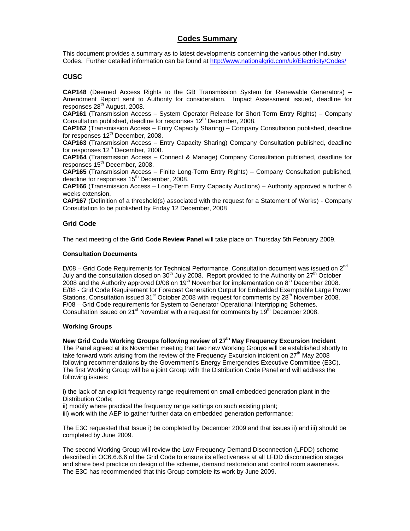# **Codes Summary**

This document provides a summary as to latest developments concerning the various other Industry Codes. Further detailed information can be found at http://www.nationalgrid.com/uk/Electricity/Codes/

# **CUSC**

**CAP148** (Deemed Access Rights to the GB Transmission System for Renewable Generators) – Amendment Report sent to Authority for consideration. Impact Assessment issued, deadline for  $responents$  28<sup>th</sup> August, 2008.

**CAP161** (Transmission Access – System Operator Release for Short-Term Entry Rights) – Company Consultation published, deadline for responses 12<sup>th</sup> December, 2008.

**CAP162** (Transmission Access – Entry Capacity Sharing) – Company Consultation published, deadline for responses  $12^{th}$  December, 2008.

**CAP163** (Transmission Access – Entry Capacity Sharing) Company Consultation published, deadline for responses  $12<sup>th</sup>$  December, 2008.

**CAP164** (Transmission Access – Connect & Manage) Company Consultation published, deadline for responses 15<sup>th</sup> December, 2008.

**CAP165** (Transmission Access – Finite Long-Term Entry Rights) – Company Consultation published, deadline for responses 15<sup>th</sup> December, 2008.

**CAP166** (Transmission Access – Long-Term Entry Capacity Auctions) – Authority approved a further 6 weeks extension.

**CAP167** (Definition of a threshold(s) associated with the request for a Statement of Works) - Company Consultation to be published by Friday 12 December, 2008

# **Grid Code**

The next meeting of the **Grid Code Review Panel** will take place on Thursday 5th February 2009.

### **Consultation Documents**

 $D/08$  – Grid Code Requirements for Technical Performance. Consultation document was issued on  $2^{nd}$ July and the consultation closed on 30<sup>th</sup> July 2008. Report provided to the Authority on 27<sup>th</sup> October 2008 and the Authority approved D/08 on  $19<sup>th</sup>$  November for implementation on  $8<sup>th</sup>$  December 2008. E/08 - Grid Code Requirement for Forecast Generation Output for Embedded Exemptable Large Power Stations. Consultation issued  $31<sup>st</sup>$  October 2008 with request for comments by  $28<sup>th</sup>$  November 2008. F/08 – Grid Code requirements for System to Generator Operational Intertripping Schemes. Consultation issued on  $21^{st}$  November with a request for comments by  $19^{th}$  December 2008.

### **Working Groups**

**New Grid Code Working Groups following review of 27th May Frequency Excursion Incident** 

The Panel agreed at its November meeting that two new Working Groups will be established shortly to take forward work arising from the review of the Frequency Excursion incident on 27<sup>th</sup> May 2008 following recommendations by the Government's Energy Emergencies Executive Committee (E3C). The first Working Group will be a joint Group with the Distribution Code Panel and will address the following issues:

i) the lack of an explicit frequency range requirement on small embedded generation plant in the Distribution Code;

ii) modify where practical the frequency range settings on such existing plant;

iii) work with the AEP to gather further data on embedded generation performance;

The E3C requested that Issue i) be completed by December 2009 and that issues ii) and iii) should be completed by June 2009.

The second Working Group will review the Low Frequency Demand Disconnection (LFDD) scheme described in OC6.6.6.6 of the Grid Code to ensure its effectiveness at all LFDD disconnection stages and share best practice on design of the scheme, demand restoration and control room awareness. The E3C has recommended that this Group complete its work by June 2009.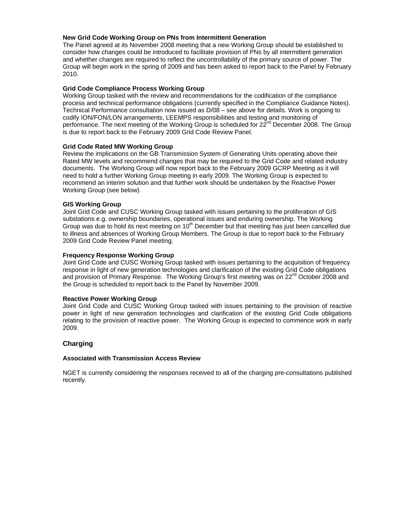# **New Grid Code Working Group on PNs from Intermittent Generation**

The Panel agreed at its November 2008 meeting that a new Working Group should be established to consider how changes could be introduced to facilitate provision of PNs by all intermittent generation and whether changes are required to reflect the uncontrollability of the primary source of power. The Group will begin work in the spring of 2009 and has been asked to report back to the Panel by February 2010.

### **Grid Code Compliance Process Working Group**

Working Group tasked with the review and recommendations for the codification of the compliance process and technical performance obligations (currently specified in the Compliance Guidance Notes). Technical Performance consultation now issued as D/08 – see above for details. Work is ongoing to codify ION/FON/LON arrangements, LEEMPS responsibilities and testing and monitoring of performance. The next meeting of the Working Group is scheduled for 22<sup>nd</sup> December 2008. The Group is due to report back to the February 2009 Grid Code Review Panel.

# **Grid Code Rated MW Working Group**

Review the implications on the GB Transmission System of Generating Units operating above their Rated MW levels and recommend changes that may be required to the Grid Code and related industry documents. The Working Group will now report back to the February 2009 GCRP Meeting as it will need to hold a further Working Group meeting in early 2009. The Working Group is expected to recommend an interim solution and that further work should be undertaken by the Reactive Power Working Group (see below).

# **GIS Working Group**

Joint Grid Code and CUSC Working Group tasked with issues pertaining to the proliferation of GIS substations e.g. ownership boundaries, operational issues and enduring ownership. The Working Group was due to hold its next meeting on 10<sup>th</sup> December but that meeting has just been cancelled due to illness and absences of Working Group Members. The Group is due to report back to the February 2009 Grid Code Review Panel meeting.

# **Frequency Response Working Group**

Joint Grid Code and CUSC Working Group tasked with issues pertaining to the acquisition of frequency response in light of new generation technologies and clarification of the existing Grid Code obligations and provision of Primary Response. The Working Group's first meeting was on 22<sup>nd</sup> October 2008 and the Group is scheduled to report back to the Panel by November 2009.

# **Reactive Power Working Group**

Joint Grid Code and CUSC Working Group tasked with issues pertaining to the provision of reactive power in light of new generation technologies and clarification of the existing Grid Code obligations relating to the provision of reactive power. The Working Group is expected to commence work in early 2009.

# **Charging**

# **Associated with Transmission Access Review**

NGET is currently considering the responses received to all of the charging pre-consultations published recently.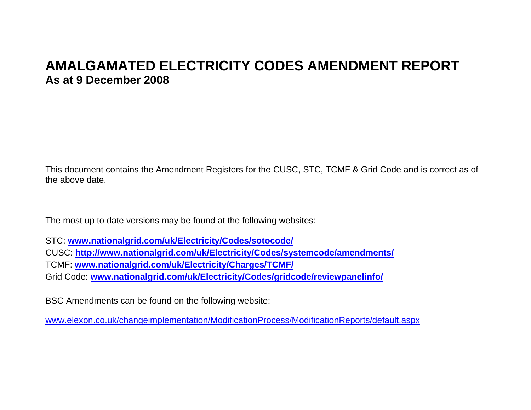# **AMALGAMATED ELECTRICITY CODES AMENDMENT REPORT As at 9 December 2008**

This document contains the Amendment Registers for the CUSC, STC, TCMF & Grid Code and is correct as of the above date.

The most up to date versions may be found at the following websites:

STC: **www.nationalgrid.com/uk/Electricity/Codes/sotocode/**

CUSC: **http://www.nationalgrid.com/uk/Electricity/Codes/systemcode/amendments/**

TCMF: **www.nationalgrid.com/uk/Electricity/Charges/TCMF/**

Grid Code: **www.nationalgrid.com/uk/Electricity/Codes/gridcode/reviewpanelinfo/**

BSC Amendments can be found on the following website:

www.elexon.co.uk/changeimplementation/ModificationProcess/ModificationReports/default.aspx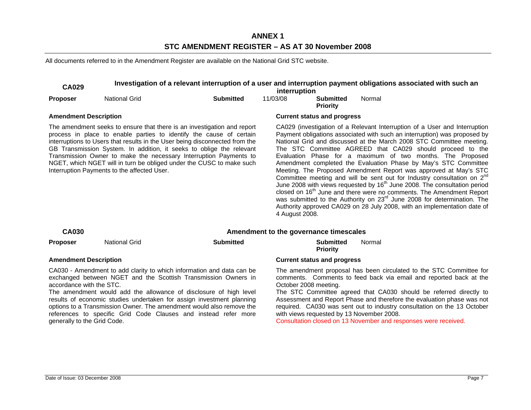# **ANNEX 1 STC AMENDMENT REGISTER – AS AT 30 November 2008**

All documents referred to in the Amendment Register are available on the National Grid STC website.

| <b>CA029</b>                                                                                                                                                                                                                                                                                                                                                                                                                                                                                      | Investigation of a relevant interruption of a user and interruption payment obligations associated with such an<br>interruption |                  |                                                                                                                                                                                                                                                                                                                                                                                                                                                                                                                                                                                                                                                                                                                                                                                                                                                                                                                                                     |                                                                                                                                                                                                                                                                                                                    |        |  |  |  |
|---------------------------------------------------------------------------------------------------------------------------------------------------------------------------------------------------------------------------------------------------------------------------------------------------------------------------------------------------------------------------------------------------------------------------------------------------------------------------------------------------|---------------------------------------------------------------------------------------------------------------------------------|------------------|-----------------------------------------------------------------------------------------------------------------------------------------------------------------------------------------------------------------------------------------------------------------------------------------------------------------------------------------------------------------------------------------------------------------------------------------------------------------------------------------------------------------------------------------------------------------------------------------------------------------------------------------------------------------------------------------------------------------------------------------------------------------------------------------------------------------------------------------------------------------------------------------------------------------------------------------------------|--------------------------------------------------------------------------------------------------------------------------------------------------------------------------------------------------------------------------------------------------------------------------------------------------------------------|--------|--|--|--|
| <b>Proposer</b>                                                                                                                                                                                                                                                                                                                                                                                                                                                                                   | <b>National Grid</b>                                                                                                            | <b>Submitted</b> | 11/03/08                                                                                                                                                                                                                                                                                                                                                                                                                                                                                                                                                                                                                                                                                                                                                                                                                                                                                                                                            | <b>Submitted</b><br><b>Priority</b>                                                                                                                                                                                                                                                                                | Normal |  |  |  |
| <b>Amendment Description</b>                                                                                                                                                                                                                                                                                                                                                                                                                                                                      |                                                                                                                                 |                  | <b>Current status and progress</b>                                                                                                                                                                                                                                                                                                                                                                                                                                                                                                                                                                                                                                                                                                                                                                                                                                                                                                                  |                                                                                                                                                                                                                                                                                                                    |        |  |  |  |
| The amendment seeks to ensure that there is an investigation and report<br>process in place to enable parties to identify the cause of certain<br>interruptions to Users that results in the User being disconnected from the<br>GB Transmission System. In addition, it seeks to oblige the relevant<br>Transmission Owner to make the necessary Interruption Payments to<br>NGET, which NGET will in turn be obliged under the CUSC to make such<br>Interruption Payments to the affected User. |                                                                                                                                 |                  | CA029 (investigation of a Relevant Interruption of a User and Interruption<br>Payment obligations associated with such an interruption) was proposed by<br>National Grid and discussed at the March 2008 STC Committee meeting.<br>The STC Committee AGREED that CA029 should proceed to the<br>Evaluation Phase for a maximum of two months. The Proposed<br>Amendment completed the Evaluation Phase by May's STC Committee<br>Meeting. The Proposed Amendment Report was approved at May's STC<br>Committee meeting and will be sent out for Industry consultation on $2^{nd}$<br>June 2008 with views requested by 16 <sup>th</sup> June 2008. The consultation period<br>closed on 16 <sup>th</sup> June and there were no comments. The Amendment Report<br>was submitted to the Authority on 23 <sup>rd</sup> June 2008 for determination. The<br>Authority approved CA029 on 28 July 2008, with an implementation date of<br>4 August 2008. |                                                                                                                                                                                                                                                                                                                    |        |  |  |  |
| <b>CA030</b>                                                                                                                                                                                                                                                                                                                                                                                                                                                                                      |                                                                                                                                 |                  |                                                                                                                                                                                                                                                                                                                                                                                                                                                                                                                                                                                                                                                                                                                                                                                                                                                                                                                                                     | Amendment to the governance timescales                                                                                                                                                                                                                                                                             |        |  |  |  |
| <b>Proposer</b>                                                                                                                                                                                                                                                                                                                                                                                                                                                                                   | <b>National Grid</b>                                                                                                            | <b>Submitted</b> |                                                                                                                                                                                                                                                                                                                                                                                                                                                                                                                                                                                                                                                                                                                                                                                                                                                                                                                                                     | <b>Submitted</b><br><b>Priority</b>                                                                                                                                                                                                                                                                                | Normal |  |  |  |
| <b>Amendment Description</b>                                                                                                                                                                                                                                                                                                                                                                                                                                                                      |                                                                                                                                 |                  |                                                                                                                                                                                                                                                                                                                                                                                                                                                                                                                                                                                                                                                                                                                                                                                                                                                                                                                                                     | <b>Current status and progress</b>                                                                                                                                                                                                                                                                                 |        |  |  |  |
| CA030 - Amendment to add clarity to which information and data can be<br>exchanged between NGET and the Scottish Transmission Owners in<br>accordance with the STC.<br>The amendment would add the allowance of disclosure of high level<br>results of economic studies undertaken for assign investment planning                                                                                                                                                                                 |                                                                                                                                 |                  |                                                                                                                                                                                                                                                                                                                                                                                                                                                                                                                                                                                                                                                                                                                                                                                                                                                                                                                                                     | The amendment proposal has been circulated to the STC Committee for<br>comments. Comments to feed back via email and reported back at the<br>October 2008 meeting.<br>The STC Committee agreed that CA030 should be referred directly to<br>Assessment and Report Phase and therefore the evaluation phase was not |        |  |  |  |

results of economic studies undertaken for assign investment planning options to a Transmission Owner. The amendment would also remove the references to specific Grid Code Clauses and instead refer more generally to the Grid Code.

### with views requested by 13 November 2008. Consultation closed on 13 November and responses were received.

required. CA030 was sent out to industry consultation on the 13 October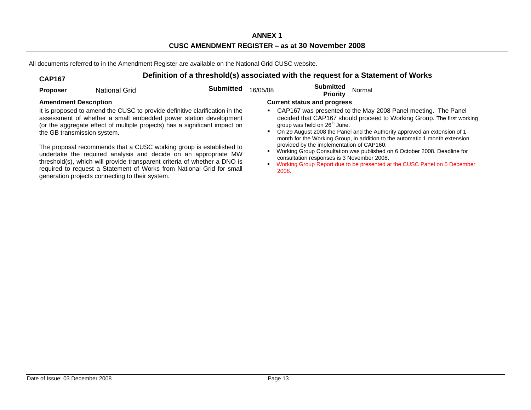All documents referred to in the Amendment Register are available on the National Grid CUSC website.

### **CAP167 Definition of a threshold(s) associated with the request for a Statement of Works Proposer** National Grid **Submitted** 16/05/08 **Submitted Priority** Normal **Amendment Description Current status and progress**  It is proposed to amend the CUSC to provide definitive clarification in the assessment of whether a small embedded power station development (or the aggregate effect of multiple projects) has a significant impact on the GB transmission system. The proposal recommends that a CUSC working group is established to undertake the required analysis and decide on an appropriate MW threshold(s), which will provide transparent criteria of whether a DNO is required to request a Statement of Works from National Grid for small generation projects connecting to their system. CAP167 was presented to the May 2008 Panel meeting. The Panel decided that CAP167 should proceed to Working Group. The first working group was held on  $26<sup>th</sup>$  June. п On 29 August 2008 the Panel and the Authority approved an extension of 1 month for the Working Group, in addition to the automatic 1 month extension provided by the implementation of CAP160. Working Group Consultation was published on 6 October 2008. Deadline for consultation responses is 3 November 2008. п Working Group Report due to be presented at the CUSC Panel on 5 December 2008.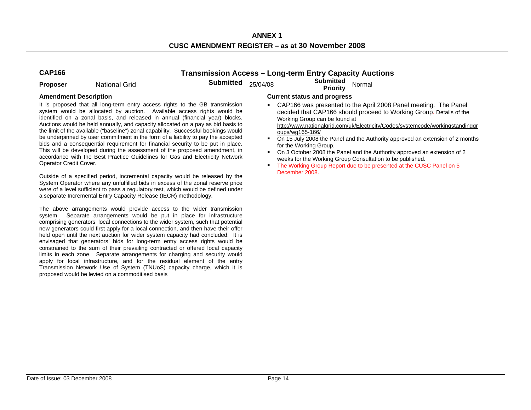**ANNEX 1 CUSC AMENDMENT REGISTER – as at 30 November 2008** 

# **CAP166 Transmission Access – Long-term Entry Capacity Auctions**

**Proposer National Grid Submitted** 25/04/08 **Submitted Proposer National Grid** 

It is proposed that all long-term entry access rights to the GB transmission system would be allocated by auction. Available access rights would be identified on a zonal basis, and released in annual (financial year) blocks. Auctions would be held annually, and capacity allocated on a pay as bid basis to the limit of the available ("baseline") zonal capability. Successful bookings would be underpinned by user commitment in the form of a liability to pay the accepted bids and a consequential requirement for financial security to be put in place. This will be developed during the assessment of the proposed amendment, in accordance with the Best Practice Guidelines for Gas and Electricity Network Operator Credit Cover.

Outside of a specified period, incremental capacity would be released by the System Operator where any unfulfilled bids in excess of the zonal reserve price were of a level sufficient to pass a regulatory test, which would be defined under a separate Incremental Entry Capacity Release (IECR) methodology.

The above arrangements would provide access to the wider transmission system. Separate arrangements would be put in place for infrastructure comprising generators' local connections to the wider system, such that potential new generators could first apply for a local connection, and then have their offer held open until the next auction for wider system capacity had concluded. It is envisaged that generators' bids for long-term entry access rights would be constrained to the sum of their prevailing contracted or offered local capacity limits in each zone. Separate arrangements for charging and security would apply for local infrastructure, and for the residual element of the entry Transmission Network Use of System (TNUoS) capacity charge, which it is proposed would be levied on a commoditised basis

- CAP166 was presented to the April 2008 Panel meeting. The Panel decided that CAP166 should proceed to Working Group. Details of the Working Group can be found at http://www.nationalgrid.com/uk/Electricity/Codes/systemcode/workingstandinggr oups/wg165-166/
- On 15 July 2008 the Panel and the Authority approved an extension of 2 months for the Working Group.
- п On 3 October 2008 the Panel and the Authority approved an extension of 2 weeks for the Working Group Consultation to be published.
- The Working Group Report due to be presented at the CUSC Panel on 5 December 2008.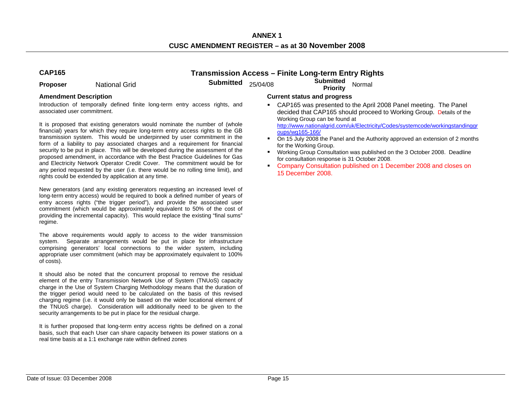**ANNEX 1 CUSC AMENDMENT REGISTER – as at 30 November 2008** 

# **CAP165 Transmission Access – Finite Long-term Entry Rights**

**Proposer •• National Grid Submitted** 25/04/08 Priority Normal

Introduction of temporally defined finite long-term entry access rights, and associated user commitment.

It is proposed that existing generators would nominate the number of (whole financial) years for which they require long-term entry access rights to the GB transmission system. This would be underpinned by user commitment in the form of a liability to pay associated charges and a requirement for financial security to be put in place. This will be developed during the assessment of the proposed amendment, in accordance with the Best Practice Guidelines for Gas and Electricity Network Operator Credit Cover. The commitment would be for any period requested by the user (i.e. there would be no rolling time limit), and rights could be extended by application at any time.

New generators (and any existing generators requesting an increased level of long-term entry access) would be required to book a defined number of years of entry access rights ("the trigger period"), and provide the associated user commitment (which would be approximately equivalent to 50% of the cost of providing the incremental capacity). This would replace the existing "final sums" regime.

The above requirements would apply to access to the wider transmission system. Separate arrangements would be put in place for infrastructure comprising generators' local connections to the wider system, including appropriate user commitment (which may be approximately equivalent to 100% of costs).

It should also be noted that the concurrent proposal to remove the residual element of the entry Transmission Network Use of System (TNUoS) capacity charge in the Use of System Charging Methodology means that the duration of the trigger period would need to be calculated on the basis of this revised charging regime (i.e. it would only be based on the wider locational element of the TNUoS charge). Consideration will additionally need to be given to the security arrangements to be put in place for the residual charge.

It is further proposed that long-term entry access rights be defined on a zonal basis, such that each User can share capacity between its power stations on a real time basis at a 1:1 exchange rate within defined zones

### **Amendment Description Current status and progress**

 CAP165 was presented to the April 2008 Panel meeting. The Panel decided that CAP165 should proceed to Working Group. Details of the Working Group can be found at http://www.nationalgrid.com/uk/Electricity/Codes/systemcode/workingstandinggr

oups/wg165-166/ ■ On 15 July 2008 the Panel and the Authority approved an extension of 2 months for the Working Group.

- п Working Group Consultation was published on the 3 October 2008. Deadline for consultation response is 31 October 2008.
- п Company Consultation published on 1 December 2008 and closes on 15 December 2008.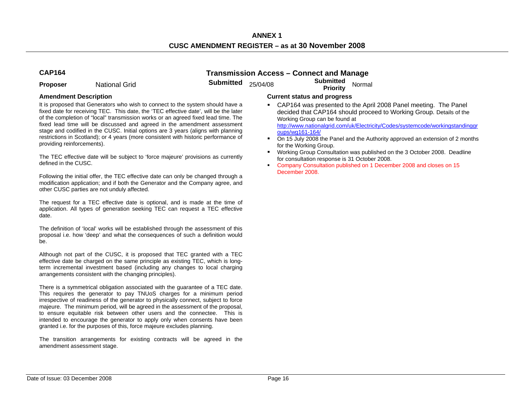**Proposer** National Grid **Submitted** 25/04/08 **Submitted Priority** Normal

**CAP164 Transmission Access – Connect and Manage** 

It is proposed that Generators who wish to connect to the system should have a fixed date for receiving TEC. This date, the 'TEC effective date', will be the later of the completion of "local" transmission works or an agreed fixed lead time. The fixed lead time will be discussed and agreed in the amendment assessment stage and codified in the CUSC. Initial options are 3 years (aligns with planning restrictions in Scotland); or 4 years (more consistent with historic performance of providing reinforcements).

The TEC effective date will be subject to 'force majeure' provisions as currently defined in the CUSC.

Following the initial offer, the TEC effective date can only be changed through a modification application; and if both the Generator and the Company agree, and other CUSC parties are not unduly affected.

The request for a TEC effective date is optional, and is made at the time of application. All types of generation seeking TEC can request a TEC effective date.

The definition of 'local' works will be established through the assessment of this proposal i.e. how 'deep' and what the consequences of such a definition would be.

Although not part of the CUSC, it is proposed that TEC granted with a TEC effective date be charged on the same principle as existing TEC, which is longterm incremental investment based (including any changes to local charging arrangements consistent with the changing principles).

There is a symmetrical obligation associated with the guarantee of a TEC date. This requires the generator to pay TNUoS charges for a minimum period irrespective of readiness of the generator to physically connect, subject to force majeure. The minimum period, will be agreed in the assessment of the proposal, to ensure equitable risk between other users and the connectee. This is intended to encourage the generator to apply only when consents have been granted i.e. for the purposes of this, force majeure excludes planning.

The transition arrangements for existing contracts will be agreed in the amendment assessment stage.

- CAP164 was presented to the April 2008 Panel meeting. The Panel decided that CAP164 should proceed to Working Group. Details of the Working Group can be found at http://www.nationalgrid.com/uk/Electricity/Codes/systemcode/workingstandinggr oups/wg161-164/
- $\blacksquare$  On 15 July 2008 the Panel and the Authority approved an extension of 2 months for the Working Group.
- п Working Group Consultation was published on the 3 October 2008. Deadline for consultation response is 31 October 2008.
- $\blacksquare$  Company Consultation published on 1 December 2008 and closes on 15 December 2008.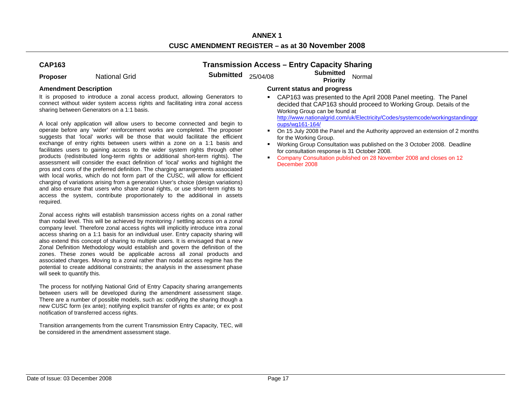# **CAP163**

**Transmission Access – Entry Capacity Sharing** 

**Proposer National Grid Submitted** 25/04/08 **Submitted Submitted Priority** Normal

It is proposed to introduce a zonal access product, allowing Generators to connect without wider system access rights and facilitating intra zonal access sharing between Generators on a 1:1 basis.

A local only application will allow users to become connected and begin to operate before any 'wider' reinforcement works are completed. The proposer suggests that 'local' works will be those that would facilitate the efficient exchange of entry rights between users within a zone on a 1:1 basis and facilitates users to gaining access to the wider system rights through other products (redistributed long-term rights or additional short-term rights). The assessment will consider the exact definition of 'local' works and highlight the pros and cons of the preferred definition. The charging arrangements associated with local works, which do not form part of the CUSC, will allow for efficient charging of variations arising from a generation User's choice (design variations) and also ensure that users who share zonal rights, or use short-term rights to access the system, contribute proportionately to the additional in assets required.

Zonal access rights will establish transmission access rights on a zonal rather than nodal level. This will be achieved by monitoring / settling access on a zonal company level. Therefore zonal access rights will implicitly introduce intra zonal access sharing on a 1:1 basis for an individual user. Entry capacity sharing will also extend this concept of sharing to multiple users. It is envisaged that a new Zonal Definition Methodology would establish and govern the definition of the zones. These zones would be applicable across all zonal products and associated charges. Moving to a zonal rather than nodal access regime has the potential to create additional constraints; the analysis in the assessment phase will seek to quantify this.

The process for notifying National Grid of Entry Capacity sharing arrangements between users will be developed during the amendment assessment stage. There are a number of possible models, such as: codifying the sharing though a new CUSC form (ex ante); notifying explicit transfer of rights ex ante; or ex post notification of transferred access rights.

Transition arrangements from the current Transmission Entry Capacity, TEC, will be considered in the amendment assessment stage.

- CAP163 was presented to the April 2008 Panel meeting. The Panel decided that CAP163 should proceed to Working Group. Details of the Working Group can be found at http://www.nationalgrid.com/uk/Electricity/Codes/systemcode/workingstandinggr oups/wg161-164/
- $\blacksquare$  On 15 July 2008 the Panel and the Authority approved an extension of 2 months for the Working Group.
- $\mathbf{r}$  Working Group Consultation was published on the 3 October 2008. Deadline for consultation response is 31 October 2008.
- $\blacksquare$  Company Consultation published on 28 November 2008 and closes on 12 December 2008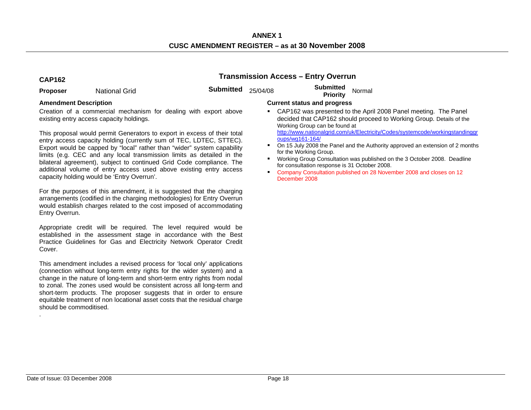# **CAP162 Transmission Access – Entry Overrun**

**Proposer Constructed Mational Grid Crid Constructed Submitted 25/04/08 <b>Submitted Priority** Normal

Creation of a commercial mechanism for dealing with export above existing entry access capacity holdings.

This proposal would permit Generators to export in excess of their total entry access capacity holding (currently sum of TEC, LDTEC, STTEC). Export would be capped by "local" rather than "wider" system capability limits (e.g. CEC and any local transmission limits as detailed in the bilateral agreement), subject to continued Grid Code compliance. The additional volume of entry access used above existing entry access capacity holding would be 'Entry Overrun'.

For the purposes of this amendment, it is suggested that the charging arrangements (codified in the charging methodologies) for Entry Overrun would establish charges related to the cost imposed of accommodating Entry Overrun.

Appropriate credit will be required. The level required would be established in the assessment stage in accordance with the Best Practice Guidelines for Gas and Electricity Network Operator Credit Cover.

This amendment includes a revised process for 'local only' applications (connection without long-term entry rights for the wider system) and a change in the nature of long-term and short-term entry rights from nodal to zonal. The zones used would be consistent across all long-term and short-term products. The proposer suggests that in order to ensure equitable treatment of non locational asset costs that the residual charge should be commoditised.

### Amendment Description **Current status and progress Current status and progress**

- CAP162 was presented to the April 2008 Panel meeting. The Panel decided that CAP162 should proceed to Working Group. Details of the Working Group can be found at http://www.nationalgrid.com/uk/Electricity/Codes/systemcode/workingstandinggr oups/wg161-164/
- П On 15 July 2008 the Panel and the Authority approved an extension of 2 months for the Working Group.
- п Working Group Consultation was published on the 3 October 2008. Deadline for consultation response is 31 October 2008.
- Company Consultation published on 28 November 2008 and closes on 12 December 2008

.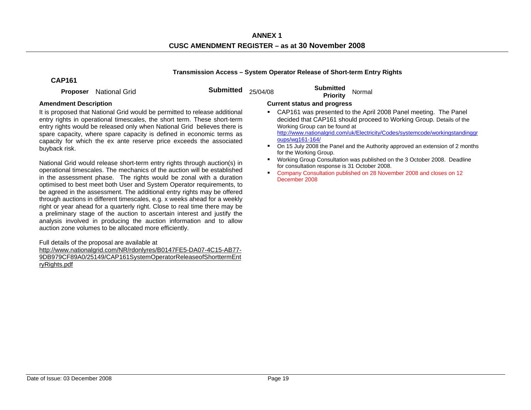# **Transmission Access – System Operator Release of Short-term Entry Rights**

# **CAP161**

**Proposer** National Grid **Submitted** 25/04/08 **Submitted Proposer** National Grid

It is proposed that National Grid would be permitted to release additional entry rights in operational timescales, the short term. These short-term entry rights would be released only when National Grid believes there is spare capacity, where spare capacity is defined in economic terms as capacity for which the ex ante reserve price exceeds the associated buyback risk.

National Grid would release short-term entry rights through auction(s) in operational timescales. The mechanics of the auction will be established in the assessment phase. The rights would be zonal with a duration optimised to best meet both User and System Operator requirements, to be agreed in the assessment. The additional entry rights may be offered through auctions in different timescales, e.g. x weeks ahead for a weekly right or year ahead for a quarterly right. Close to real time there may be a preliminary stage of the auction to ascertain interest and justify the analysis involved in producing the auction information and to allow auction zone volumes to be allocated more efficiently.

Full details of the proposal are available at

http://www.nationalgrid.com/NR/rdonlyres/B0147FE5-DA07-4C15-AB77- 9DB979CF89A0/25149/CAP161SystemOperatorReleaseofShorttermEnt ryRights.pdf

- CAP161 was presented to the April 2008 Panel meeting. The Panel decided that CAP161 should proceed to Working Group. Details of the Working Group can be found at http://www.nationalgrid.com/uk/Electricity/Codes/systemcode/workingstandinggr oups/wg161-164/
- $\blacksquare$  On 15 July 2008 the Panel and the Authority approved an extension of 2 months for the Working Group.
- $\blacksquare$  Working Group Consultation was published on the 3 October 2008. Deadline for consultation response is 31 October 2008.
- $\blacksquare$  Company Consultation published on 28 November 2008 and closes on 12 December 2008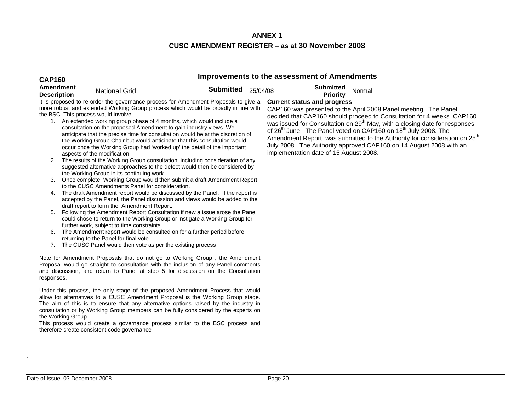# **CAP160 Improvements to the assessment of Amendments Amendment**

**Description** National Grid **Submitted** 25/04/08 **Submitted Priority** Normal

It is proposed to re-order the governance process for Amendment Proposals to give a more robust and extended Working Group process which would be broadly in line with the BSC. This process would involve:

- 1. An extended working group phase of 4 months, which would include a consultation on the proposed Amendment to gain industry views. We anticipate that the precise time for consultation would be at the discretion of the Working Group Chair but would anticipate that this consultation would occur once the Working Group had 'worked up' the detail of the important aspects of the modification;
- 2. The results of the Working Group consultation, including consideration of any suggested alternative approaches to the defect would then be considered by the Working Group in its continuing work.
- 3. Once complete, Working Group would then submit a draft Amendment Report to the CUSC Amendments Panel for consideration.
- 4. The draft Amendment report would be discussed by the Panel. If the report is accepted by the Panel, the Panel discussion and views would be added to the draft report to form the Amendment Report.
- 5. Following the Amendment Report Consultation if new a issue arose the Panel could chose to return to the Working Group or instigate a Working Group for further work, subject to time constraints.
- 6. The Amendment report would be consulted on for a further period before returning to the Panel for final vote.
- 7. The CUSC Panel would then vote as per the existing process

Note for Amendment Proposals that do not go to Working Group , the Amendment Proposal would go straight to consultation with the inclusion of any Panel comments and discussion, and return to Panel at step 5 for discussion on the Consultation responses.

Under this process, the only stage of the proposed Amendment Process that would allow for alternatives to a CUSC Amendment Proposal is the Working Group stage. The aim of this is to ensure that any alternative options raised by the industry in consultation or by Working Group members can be fully considered by the experts on the Working Group.

This process would create a governance process similar to the BSC process and therefore create consistent code governance

# **Current status and progress**

CAP160 was presented to the April 2008 Panel meeting. The Panel decided that CAP160 should proceed to Consultation for 4 weeks. CAP160 was issued for Consultation on 29<sup>th</sup> May, with a closing date for responses of  $26<sup>th</sup>$  June. The Panel voted on CAP160 on 18 $<sup>th</sup>$  July 2008. The</sup> Amendment Report was submitted to the Authority for consideration on 25<sup>th</sup> July 2008. The Authority approved CAP160 on 14 August 2008 with an implementation date of 15 August 2008.

.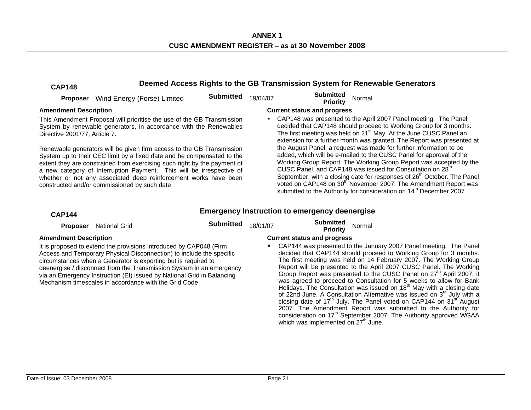**ANNEX 1 CUSC AMENDMENT REGISTER – as at 30 November 2008** 

| <b>CAP148</b>                                                                                                                                                                                                                                                                                                                                                                                                                                                                                                                                                                                           | Deemed Access Rights to the GB Transmission System for Renewable Generators |                  |                                    |                                                                                                                                                                                                                                                                                                                                                                                                                                                                                                                                                    |  |  |  |
|---------------------------------------------------------------------------------------------------------------------------------------------------------------------------------------------------------------------------------------------------------------------------------------------------------------------------------------------------------------------------------------------------------------------------------------------------------------------------------------------------------------------------------------------------------------------------------------------------------|-----------------------------------------------------------------------------|------------------|------------------------------------|----------------------------------------------------------------------------------------------------------------------------------------------------------------------------------------------------------------------------------------------------------------------------------------------------------------------------------------------------------------------------------------------------------------------------------------------------------------------------------------------------------------------------------------------------|--|--|--|
| Proposer                                                                                                                                                                                                                                                                                                                                                                                                                                                                                                                                                                                                | Wind Energy (Forse) Limited                                                 | <b>Submitted</b> | 19/04/07                           | <b>Submitted</b><br>Normal<br>Priority                                                                                                                                                                                                                                                                                                                                                                                                                                                                                                             |  |  |  |
| <b>Amendment Description</b>                                                                                                                                                                                                                                                                                                                                                                                                                                                                                                                                                                            |                                                                             |                  | <b>Current status and progress</b> |                                                                                                                                                                                                                                                                                                                                                                                                                                                                                                                                                    |  |  |  |
| This Amendment Proposal will prioritise the use of the GB Transmission<br>System by renewable generators, in accordance with the Renewables<br>Directive 2001/77. Article 7.<br>Renewable generators will be given firm access to the GB Transmission<br>System up to their CEC limit by a fixed date and be compensated to the<br>extent they are constrained from exercising such right by the payment of<br>a new category of Interruption Payment. This will be irrespective of<br>whether or not any associated deep reinforcement works have been<br>constructed and/or commissioned by such date |                                                                             |                  |                                    | CAP148 was presented to the April 2007 Panel meeting. The Panel<br>decided that CAP148 should proceed to Working Group for 3 months.<br>The first meeting was held on 21 <sup>st</sup> May. At the June CUSC Panel an<br>extension for a further month was granted. The Report was presented at                                                                                                                                                                                                                                                    |  |  |  |
|                                                                                                                                                                                                                                                                                                                                                                                                                                                                                                                                                                                                         |                                                                             |                  |                                    | the August Panel, a request was made for further information to be<br>added, which will be e-mailed to the CUSC Panel for approval of the<br>Working Group Report. The Working Group Report was accepted by the<br>CUSC Panel, and CAP148 was issued for Consultation on 28 <sup>th</sup><br>September, with a closing date for responses of 26 <sup>th</sup> October. The Panel<br>voted on CAP148 on 30 <sup>th</sup> November 2007. The Amendment Report was<br>submitted to the Authority for consideration on 14 <sup>th</sup> December 2007. |  |  |  |

# **CAP144 Emergency Instruction to emergency deenergise**

**Proposer** National Grid **Submitted** 18/01/07 **Submitted Priority** Normal

It is proposed to extend the provisions introduced by CAP048 (Firm Access and Temporary Physical Disconnection) to include the specific circumstances when a Generator is exporting but is required to deenergise / disconnect from the Transmission System in an emergency via an Emergency Instruction (EI) issued by National Grid in Balancing Mechanism timescales in accordance with the Grid Code.

# **Amendment Description Current status and progress**

 $\blacksquare$  CAP144 was presented to the January 2007 Panel meeting. The Panel decided that CAP144 should proceed to Working Group for 3 months. The first meeting was held on 14 February 2007. The Working Group Report will be presented to the April 2007 CUSC Panel. The Working Group Report was presented to the CUSC Panel on 27<sup>th</sup> April 2007, it was agreed to proceed to Consultation for 5 weeks to allow for Bank Holidays. The Consultation was issued on  $18<sup>th</sup>$  May with a closing date of 22nd June. A Consultation Alternative was issued on 3<sup>rd</sup> July with a closing date of  $17<sup>th</sup>$  July. The Panel voted on CAP144 on  $31<sup>st</sup>$  August 2007. The Amendment Report was submitted to the Authority for consideration on 17<sup>th</sup> September 2007. The Authority approved WGAA which was implemented on  $27<sup>th</sup>$  June.